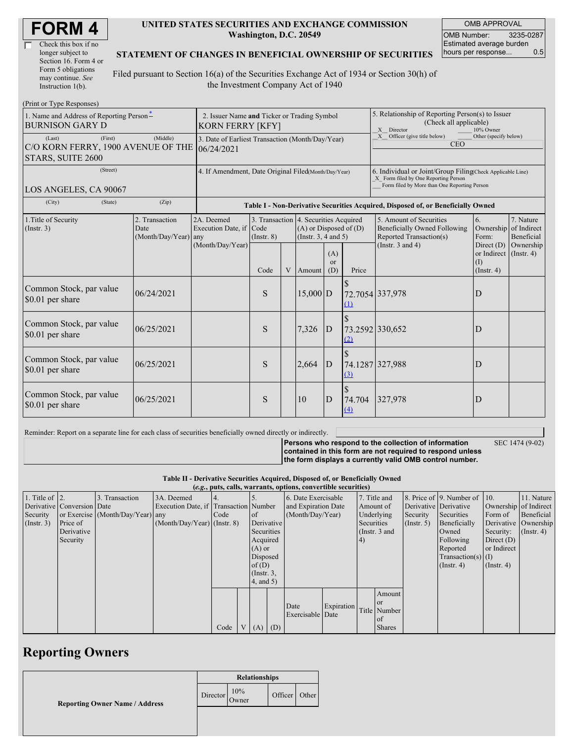| <b>FORM4</b> |
|--------------|
|--------------|

| Check this box if no  |
|-----------------------|
| longer subject to     |
| Section 16. Form 4 or |
| Form 5 obligations    |
| may continue. See     |
| Instruction 1(b).     |

#### **UNITED STATES SECURITIES AND EXCHANGE COMMISSION Washington, D.C. 20549**

OMB APPROVAL OMB Number: 3235-0287 Estimated average burden hours per response... 0.5

### **STATEMENT OF CHANGES IN BENEFICIAL OWNERSHIP OF SECURITIES**

Filed pursuant to Section 16(a) of the Securities Exchange Act of 1934 or Section 30(h) of the Investment Company Act of 1940

| (Print or Type Responses)                                                             |                                                                        |                                                                                  |                         |   |                                                                                             |                             |                                                                                                                                                    |                                                                                    |                                                           |                                        |
|---------------------------------------------------------------------------------------|------------------------------------------------------------------------|----------------------------------------------------------------------------------|-------------------------|---|---------------------------------------------------------------------------------------------|-----------------------------|----------------------------------------------------------------------------------------------------------------------------------------------------|------------------------------------------------------------------------------------|-----------------------------------------------------------|----------------------------------------|
| 1. Name and Address of Reporting Person-<br><b>BURNISON GARY D</b>                    | 2. Issuer Name and Ticker or Trading Symbol<br><b>KORN FERRY [KFY]</b> |                                                                                  |                         |   |                                                                                             |                             | 5. Relationship of Reporting Person(s) to Issuer<br>(Check all applicable)<br>X Director<br>10% Owner                                              |                                                                                    |                                                           |                                        |
| (Last)<br>(First)<br>C/O KORN FERRY, 1900 AVENUE OF THE<br>STARS, SUITE 2600          | 3. Date of Earliest Transaction (Month/Day/Year)<br>06/24/2021         |                                                                                  |                         |   |                                                                                             |                             | X Officer (give title below)<br>Other (specify below)<br><b>CEO</b>                                                                                |                                                                                    |                                                           |                                        |
| (Street)<br>LOS ANGELES, CA 90067                                                     | 4. If Amendment, Date Original Filed(Month/Day/Year)                   |                                                                                  |                         |   |                                                                                             |                             | 6. Individual or Joint/Group Filing(Check Applicable Line)<br>X Form filed by One Reporting Person<br>Form filed by More than One Reporting Person |                                                                                    |                                                           |                                        |
| (City)<br>(State)                                                                     |                                                                        | Table I - Non-Derivative Securities Acquired, Disposed of, or Beneficially Owned |                         |   |                                                                                             |                             |                                                                                                                                                    |                                                                                    |                                                           |                                        |
| 2. Transaction<br>1. Title of Security<br>(Insert. 3)<br>Date<br>(Month/Day/Year) any |                                                                        | 2A. Deemed<br>Execution Date, if                                                 | Code<br>$($ Instr. $8)$ |   | 3. Transaction 4. Securities Acquired<br>$(A)$ or Disposed of $(D)$<br>(Insert. 3, 4 and 5) |                             |                                                                                                                                                    | 5. Amount of Securities<br>Beneficially Owned Following<br>Reported Transaction(s) | 6.<br>Ownership<br>Form:                                  | 7. Nature<br>of Indirect<br>Beneficial |
|                                                                                       |                                                                        | (Month/Day/Year)                                                                 | Code                    | V | Amount                                                                                      | (A)<br><sub>or</sub><br>(D) | Price                                                                                                                                              | (Instr. $3$ and $4$ )                                                              | Direct $(D)$<br>or Indirect<br>$($ I)<br>$($ Instr. 4 $)$ | Ownership<br>$($ Instr. 4 $)$          |
| Common Stock, par value<br>\$0.01 per share                                           | 06/24/2021                                                             |                                                                                  | S                       |   | $15,000$ D                                                                                  |                             | $\Omega$                                                                                                                                           | 72.7054 337,978                                                                    | D                                                         |                                        |
| Common Stock, par value<br>\$0.01 per share                                           | 06/25/2021                                                             |                                                                                  | S                       |   | 7,326                                                                                       | $\mathbf{D}$                | (2)                                                                                                                                                | 73.2592 330,652                                                                    | D                                                         |                                        |
| Common Stock, par value<br>\$0.01 per share                                           | 06/25/2021                                                             |                                                                                  | S                       |   | 2,664                                                                                       | D                           | (3)                                                                                                                                                | 74.1287 327,988                                                                    | D                                                         |                                        |
| Common Stock, par value<br>\$0.01 per share                                           | 06/25/2021                                                             |                                                                                  | S                       |   | <sup>10</sup>                                                                               | D                           | 74.704<br>(4)                                                                                                                                      | 327,978                                                                            | D                                                         |                                        |

Reminder: Report on a separate line for each class of securities beneficially owned directly or indirectly.

SEC 1474 (9-02)

**Persons who respond to the collection of information contained in this form are not required to respond unless the form displays a currently valid OMB control number.**

**Table II - Derivative Securities Acquired, Disposed of, or Beneficially Owned**

|  | (e.g., puts, calls, warrants, options, convertible securities) |  |
|--|----------------------------------------------------------------|--|
|  |                                                                |  |

| 1. Title of $\vert$ 2. |                            | 3. Transaction                   | 3A. Deemed                            |      |                |                 | 6. Date Exercisable |            |            | 7. Title and    |                       | 8. Price of 9. Number of 10. |                  | 11. Nature            |
|------------------------|----------------------------|----------------------------------|---------------------------------------|------|----------------|-----------------|---------------------|------------|------------|-----------------|-----------------------|------------------------------|------------------|-----------------------|
|                        | Derivative Conversion Date |                                  | Execution Date, if Transaction Number |      |                |                 | and Expiration Date |            |            | Amount of       | Derivative Derivative |                              |                  | Ownership of Indirect |
| Security               |                            | or Exercise (Month/Day/Year) any |                                       | Code |                | of              | (Month/Day/Year)    |            |            | Underlying      | Security              | Securities                   | Form of          | Beneficial            |
| (Insert. 3)            | Price of                   |                                  | $(Month/Day/Year)$ (Instr. 8)         |      |                | Derivative      |                     |            | Securities |                 | $($ Instr. 5 $)$      | Beneficially                 |                  | Derivative Ownership  |
|                        | Derivative                 |                                  |                                       |      |                | Securities      |                     |            |            | (Instr. $3$ and |                       | Owned                        | Security:        | $($ Instr. 4 $)$      |
|                        | Security                   |                                  |                                       |      |                | Acquired        |                     |            | $\vert 4)$ |                 |                       | Following                    | Direct $(D)$     |                       |
|                        |                            |                                  |                                       |      |                | $(A)$ or        |                     |            |            |                 |                       | Reported                     | or Indirect      |                       |
|                        |                            |                                  |                                       |      |                | Disposed        |                     |            |            |                 |                       | $Transaction(s)$ (I)         |                  |                       |
|                        |                            |                                  |                                       |      |                | of $(D)$        |                     |            |            |                 |                       | $($ Instr. 4 $)$             | $($ Instr. 4 $)$ |                       |
|                        |                            |                                  |                                       |      |                | $($ Instr. $3,$ |                     |            |            |                 |                       |                              |                  |                       |
|                        |                            |                                  |                                       |      |                | 4, and 5)       |                     |            |            |                 |                       |                              |                  |                       |
|                        |                            |                                  |                                       |      |                |                 |                     |            |            | Amount          |                       |                              |                  |                       |
|                        |                            |                                  |                                       |      |                |                 |                     |            |            | <b>or</b>       |                       |                              |                  |                       |
|                        |                            |                                  |                                       |      |                |                 | Date                | Expiration |            | Title Number    |                       |                              |                  |                       |
|                        |                            |                                  |                                       |      |                |                 | Exercisable Date    |            |            | of              |                       |                              |                  |                       |
|                        |                            |                                  |                                       | Code | V <sub>1</sub> | $(A)$ $(D)$     |                     |            |            | <b>Shares</b>   |                       |                              |                  |                       |
|                        |                            |                                  |                                       |      |                |                 |                     |            |            |                 |                       |                              |                  |                       |

## **Reporting Owners**

|                                       | <b>Relationships</b> |              |         |       |
|---------------------------------------|----------------------|--------------|---------|-------|
| <b>Reporting Owner Name / Address</b> | Director             | 10%<br>Owner | Officer | Other |
|                                       |                      |              |         |       |